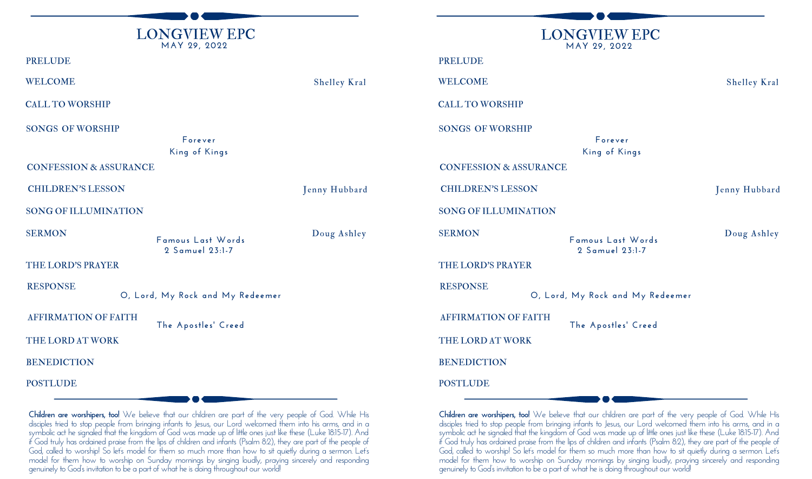| <b>LONGVIEW EPC</b><br>MAY 29, 2022                                                      |                     | <b>LONGVIEW EPC</b><br>MAY 29, 2022                                                      |                     |
|------------------------------------------------------------------------------------------|---------------------|------------------------------------------------------------------------------------------|---------------------|
|                                                                                          |                     |                                                                                          |                     |
| <b>WELCOME</b>                                                                           | <b>Shelley Kral</b> | <b>WELCOME</b>                                                                           | <b>Shelley Kral</b> |
| <b>CALL TO WORSHIP</b>                                                                   |                     | <b>CALL TO WORSHIP</b>                                                                   |                     |
| <b>SONGS OF WORSHIP</b><br>Forever<br>King of Kings<br><b>CONFESSION &amp; ASSURANCE</b> |                     | <b>SONGS OF WORSHIP</b><br>Forever<br>King of Kings<br><b>CONFESSION &amp; ASSURANCE</b> |                     |
| <b>CHILDREN'S LESSON</b>                                                                 | Jenny Hubbard       | <b>CHILDREN'S LESSON</b>                                                                 | Jenny Hubbard       |
| <b>SONG OF ILLUMINATION</b>                                                              |                     | <b>SONG OF ILLUMINATION</b>                                                              |                     |
| <b>SERMON</b><br>Famous Last Words<br>2 Samuel 23:1-7                                    | Doug Ashley         | <b>SERMON</b><br>Famous Last Words<br>2 Samuel 23:1-7                                    | Doug Ashley         |
| THE LORD'S PRAYER                                                                        |                     | THE LORD'S PRAYER                                                                        |                     |
| <b>RESPONSE</b><br>O, Lord, My Rock and My Redeemer                                      |                     | <b>RESPONSE</b><br>O, Lord, My Rock and My Redeemer                                      |                     |
| <b>AFFIRMATION OF FAITH</b><br>The Apostles' Creed                                       |                     | <b>AFFIRMATION OF FAITH</b><br>The Apostles' Creed                                       |                     |
| THE LORD AT WORK                                                                         |                     | THE LORD AT WORK                                                                         |                     |
| <b>BENEDICTION</b>                                                                       |                     | <b>BENEDICTION</b>                                                                       |                     |
| <b>POSTLUDE</b>                                                                          |                     | <b>POSTLUDE</b>                                                                          |                     |

**Children are worshipers, too!** We believe that our children are part of the very people of God. While His disciples tried to stop people from bringing infants to Jesus, our Lord welcomed them into his arms, and in a symbolic act he signaled that the kingdom of God was made up of little ones just like these (Luke 18:15-17). And if God truly has ordained praise from the lips of children and infants (Psalm 8:2), they are part of the people of God, called to worship! So let's model for them so much more than how to sit quietly during a sermon. Let's model for them how to worship on Sunday mornings by singing loudly, praying sincerely and responding genuinely to God's invitation to be a part of what he is doing throughout our world!

**Children are worshipers, too!** We believe that our children are part of the very people of God. While His disciples tried to stop people from bringing infants to Jesus, our Lord welcomed them into his arms, and in a symbolic act he signaled that the kingdom of God was made up of little ones just like these (Luke 18:15-17). And if God truly has ordained praise from the lips of children and infants (Psalm 8:2), they are part of the people of God, called to worship! So let's model for them so much more than how to sit quietly during a sermon. Let's model for them how to worship on Sunday mornings by singing loudly, praying sincerely and responding genuinely to God's invitation to be a part of what he is doing throughout our world!